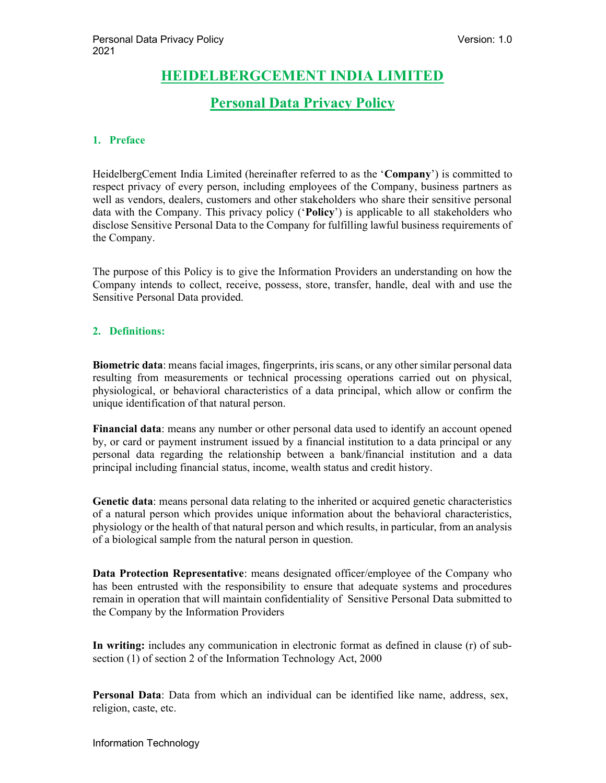# HEIDELBERGCEMENT INDIA LIMITED

# Personal Data Privacy Policy

# 1. Preface

HeidelbergCement India Limited (hereinafter referred to as the 'Company') is committed to respect privacy of every person, including employees of the Company, business partners as well as vendors, dealers, customers and other stakeholders who share their sensitive personal data with the Company. This privacy policy ('Policy') is applicable to all stakeholders who disclose Sensitive Personal Data to the Company for fulfilling lawful business requirements of the Company.

The purpose of this Policy is to give the Information Providers an understanding on how the Company intends to collect, receive, possess, store, transfer, handle, deal with and use the Sensitive Personal Data provided.

## 2. Definitions:

Biometric data: means facial images, fingerprints, iris scans, or any other similar personal data resulting from measurements or technical processing operations carried out on physical, physiological, or behavioral characteristics of a data principal, which allow or confirm the unique identification of that natural person.

Financial data: means any number or other personal data used to identify an account opened by, or card or payment instrument issued by a financial institution to a data principal or any personal data regarding the relationship between a bank/financial institution and a data principal including financial status, income, wealth status and credit history.

Genetic data: means personal data relating to the inherited or acquired genetic characteristics of a natural person which provides unique information about the behavioral characteristics, physiology or the health of that natural person and which results, in particular, from an analysis of a biological sample from the natural person in question.

Data Protection Representative: means designated officer/employee of the Company who has been entrusted with the responsibility to ensure that adequate systems and procedures remain in operation that will maintain confidentiality of Sensitive Personal Data submitted to the Company by the Information Providers

In writing: includes any communication in electronic format as defined in clause (r) of subsection (1) of section 2 of the Information Technology Act, 2000

Personal Data: Data from which an individual can be identified like name, address, sex, religion, caste, etc.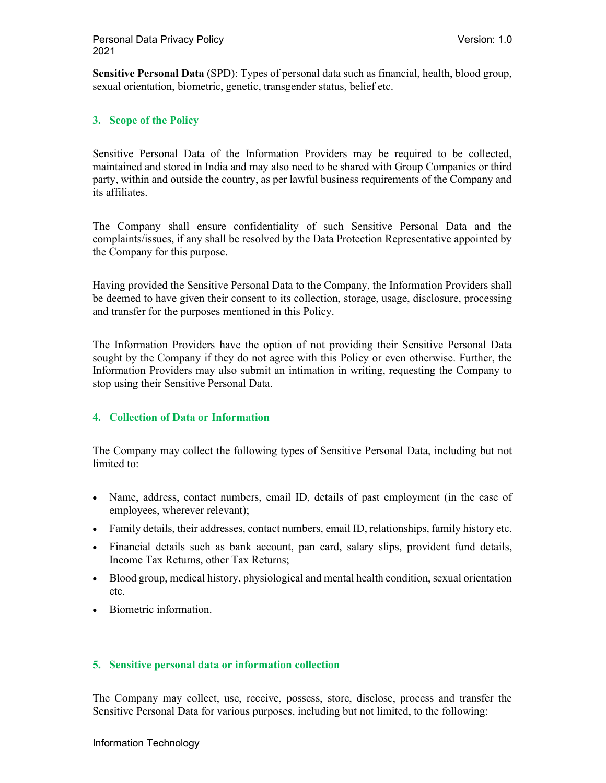Sensitive Personal Data (SPD): Types of personal data such as financial, health, blood group, sexual orientation, biometric, genetic, transgender status, belief etc.

## 3. Scope of the Policy

Sensitive Personal Data of the Information Providers may be required to be collected, maintained and stored in India and may also need to be shared with Group Companies or third party, within and outside the country, as per lawful business requirements of the Company and its affiliates.

The Company shall ensure confidentiality of such Sensitive Personal Data and the complaints/issues, if any shall be resolved by the Data Protection Representative appointed by the Company for this purpose.

Having provided the Sensitive Personal Data to the Company, the Information Providers shall be deemed to have given their consent to its collection, storage, usage, disclosure, processing and transfer for the purposes mentioned in this Policy.

The Information Providers have the option of not providing their Sensitive Personal Data sought by the Company if they do not agree with this Policy or even otherwise. Further, the Information Providers may also submit an intimation in writing, requesting the Company to stop using their Sensitive Personal Data.

## 4. Collection of Data or Information

The Company may collect the following types of Sensitive Personal Data, including but not limited to:

- Name, address, contact numbers, email ID, details of past employment (in the case of employees, wherever relevant);
- Family details, their addresses, contact numbers, email ID, relationships, family history etc.
- Financial details such as bank account, pan card, salary slips, provident fund details, Income Tax Returns, other Tax Returns;
- Blood group, medical history, physiological and mental health condition, sexual orientation etc.
- Biometric information.

## 5. Sensitive personal data or information collection

The Company may collect, use, receive, possess, store, disclose, process and transfer the Sensitive Personal Data for various purposes, including but not limited, to the following: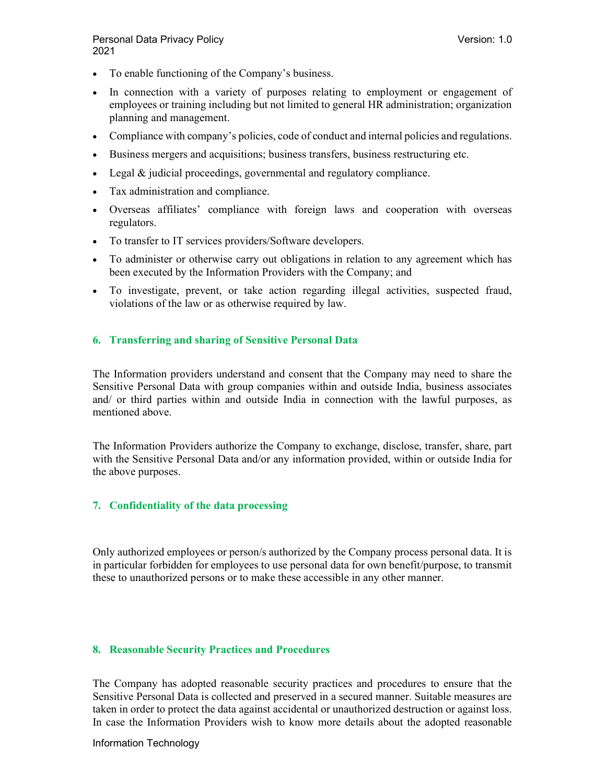- To enable functioning of the Company's business.
- In connection with a variety of purposes relating to employment or engagement of employees or training including but not limited to general HR administration; organization planning and management.
- Compliance with company's policies, code of conduct and internal policies and regulations.
- Business mergers and acquisitions; business transfers, business restructuring etc.
- Legal & judicial proceedings, governmental and regulatory compliance.
- Tax administration and compliance.
- Overseas affiliates' compliance with foreign laws and cooperation with overseas regulators.
- To transfer to IT services providers/Software developers.
- To administer or otherwise carry out obligations in relation to any agreement which has been executed by the Information Providers with the Company; and
- To investigate, prevent, or take action regarding illegal activities, suspected fraud, violations of the law or as otherwise required by law.

#### 6. Transferring and sharing of Sensitive Personal Data

The Information providers understand and consent that the Company may need to share the Sensitive Personal Data with group companies within and outside India, business associates and/ or third parties within and outside India in connection with the lawful purposes, as mentioned above.

The Information Providers authorize the Company to exchange, disclose, transfer, share, part with the Sensitive Personal Data and/or any information provided, within or outside India for the above purposes.

#### 7. Confidentiality of the data processing

Only authorized employees or person/s authorized by the Company process personal data. It is in particular forbidden for employees to use personal data for own benefit/purpose, to transmit these to unauthorized persons or to make these accessible in any other manner.

#### 8. Reasonable Security Practices and Procedures

The Company has adopted reasonable security practices and procedures to ensure that the Sensitive Personal Data is collected and preserved in a secured manner. Suitable measures are taken in order to protect the data against accidental or unauthorized destruction or against loss. In case the Information Providers wish to know more details about the adopted reasonable

Information Technology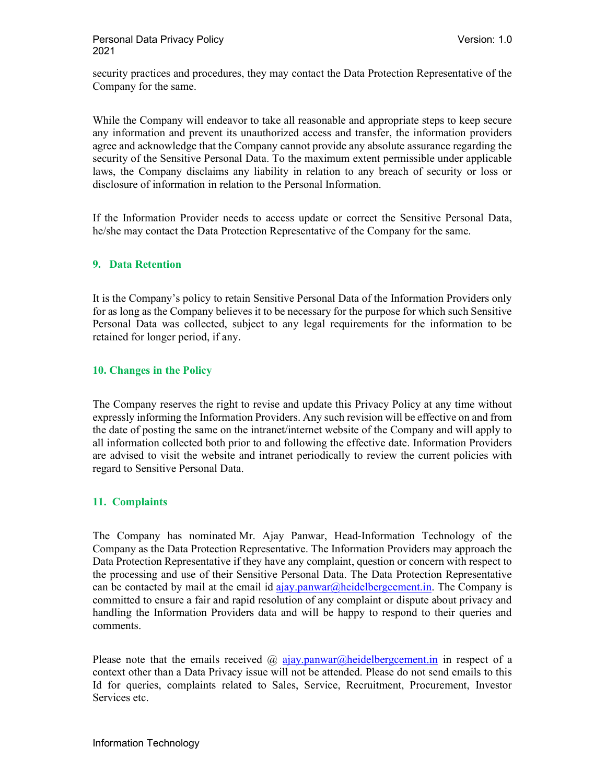security practices and procedures, they may contact the Data Protection Representative of the Company for the same.

While the Company will endeavor to take all reasonable and appropriate steps to keep secure any information and prevent its unauthorized access and transfer, the information providers agree and acknowledge that the Company cannot provide any absolute assurance regarding the security of the Sensitive Personal Data. To the maximum extent permissible under applicable laws, the Company disclaims any liability in relation to any breach of security or loss or disclosure of information in relation to the Personal Information.

If the Information Provider needs to access update or correct the Sensitive Personal Data, he/she may contact the Data Protection Representative of the Company for the same.

#### 9. Data Retention

It is the Company's policy to retain Sensitive Personal Data of the Information Providers only for as long as the Company believes it to be necessary for the purpose for which such Sensitive Personal Data was collected, subject to any legal requirements for the information to be retained for longer period, if any.

#### 10. Changes in the Policy

The Company reserves the right to revise and update this Privacy Policy at any time without expressly informing the Information Providers. Any such revision will be effective on and from the date of posting the same on the intranet/internet website of the Company and will apply to all information collected both prior to and following the effective date. Information Providers are advised to visit the website and intranet periodically to review the current policies with regard to Sensitive Personal Data.

## 11. Complaints

The Company has nominated Mr. Ajay Panwar, Head-Information Technology of the Company as the Data Protection Representative. The Information Providers may approach the Data Protection Representative if they have any complaint, question or concern with respect to the processing and use of their Sensitive Personal Data. The Data Protection Representative can be contacted by mail at the email id ajay.panwar@heidelbergcement.in. The Company is committed to ensure a fair and rapid resolution of any complaint or dispute about privacy and handling the Information Providers data and will be happy to respond to their queries and comments.

Please note that the emails received  $\omega$  ajay.panwar $\omega$ heidelbergcement.in in respect of a context other than a Data Privacy issue will not be attended. Please do not send emails to this Id for queries, complaints related to Sales, Service, Recruitment, Procurement, Investor Services etc.